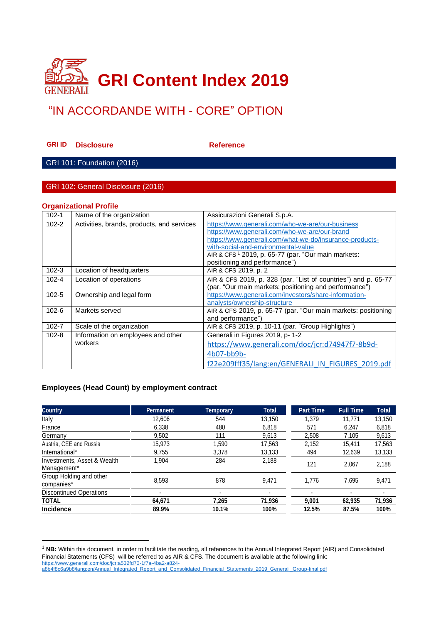

# "IN ACCORDANDE WITH - CORE" OPTION

**GRIID Disclosure Reference** 

GRI 101: Foundation (2016)

#### GRI 102: General Disclosure (2016)

#### **Organizational Profile**

| $102 - 1$ | Name of the organization                   | Assicurazioni Generali S.p.A.                                  |
|-----------|--------------------------------------------|----------------------------------------------------------------|
| $102 - 2$ | Activities, brands, products, and services | https://www.generali.com/who-we-are/our-business               |
|           |                                            | https://www.generali.com/who-we-are/our-brand                  |
|           |                                            | https://www.generali.com/what-we-do/insurance-products-        |
|           |                                            | with-social-and-environmental-value                            |
|           |                                            | AIR & CFS <sup>1</sup> 2019, p. 65-77 (par. "Our main markets: |
|           |                                            | positioning and performance")                                  |
| $102 - 3$ | Location of headquarters                   | AIR & CFS 2019, p. 2                                           |
| $102 - 4$ | Location of operations                     | AIR & CFS 2019, p. 328 (par. "List of countries") and p. 65-77 |
|           |                                            | (par. "Our main markets: positioning and performance")         |
| $102 - 5$ | Ownership and legal form                   | https://www.generali.com/investors/share-information-          |
|           |                                            | analysts/ownership-structure                                   |
| $102 - 6$ | Markets served                             | AIR & CFS 2019, p. 65-77 (par. "Our main markets: positioning  |
|           |                                            | and performance")                                              |
| $102 - 7$ | Scale of the organization                  | AIR & CFS 2019, p. 10-11 (par. "Group Highlights")             |
| $102 - 8$ | Information on employees and other         | Generali in Figures 2019, p- 1-2                               |
|           | workers                                    | https://www.generali.com/doc/jcr:d74947f7-8b9d-                |
|           |                                            | 4b07-bb9b-                                                     |
|           |                                            | f22e209fff35/lang:en/GENERALI IN FIGURES 2019.pdf              |

#### **Employees (Head Count) by employment contract**

| <b>Country</b>                             | <b>Permanent</b> | <b>Temporary</b> | <b>Total</b> | <b>Part Time</b> | <b>Full Time</b>         | <b>Total</b> |
|--------------------------------------------|------------------|------------------|--------------|------------------|--------------------------|--------------|
| Italy                                      | 12,606           | 544              | 13.150       | 1.379            | 11.771                   | 13,150       |
| France                                     | 6,338            | 480              | 6,818        | 571              | 6,247                    | 6,818        |
| Germany                                    | 9,502            | 111              | 9,613        | 2,508            | 7,105                    | 9,613        |
| Austria, CEE and Russia                    | 15,973           | .590             | 17,563       | 2,152            | 15,411                   | 17,563       |
| International*                             | 9,755            | 3.378            | 13,133       | 494              | 12,639                   | 13,133       |
| Investments, Asset & Wealth<br>Management* | 1,904            | 284              | 2,188        | 121              | 2.067                    | 2,188        |
| Group Holding and other<br>companies*      | 8,593            | 878              | 9.471        | 1.776            | 7.695                    | 9,471        |
| <b>Discontinued Operations</b>             | ۰                |                  | ۰            |                  | $\overline{\phantom{0}}$ | ٠            |
| TOTAL                                      | 64,671           | 7.265            | 71,936       | 9.001            | 62,935                   | 71,936       |
| Incidence                                  | 89.9%            | 10.1%            | 100%         | 12.5%            | 87.5%                    | 100%         |

<sup>&</sup>lt;sup>1</sup> NB: Within this document, in order to facilitate the reading, all references to the Annual Integrated Report (AIR) and Consolidated Financial Statements (CFS) will be referred to as AIR & CFS. The document is available at the following link: [https://www.generali.com/doc/jcr:a532fd70-1f7a-4ba2-a824-](https://www.generali.com/doc/jcr:a532fd70-1f7a-4ba2-a824-a8b4f8c6a9b8/lang:en/Annual_Integrated_Report_and_Consolidated_Financial_Statements_2019_Generali_Group-final.pdf)

[a8b4f8c6a9b8/lang:en/Annual\\_Integrated\\_Report\\_and\\_Consolidated\\_Financial\\_Statements\\_2019\\_Generali\\_Group-final.pdf](https://www.generali.com/doc/jcr:a532fd70-1f7a-4ba2-a824-a8b4f8c6a9b8/lang:en/Annual_Integrated_Report_and_Consolidated_Financial_Statements_2019_Generali_Group-final.pdf)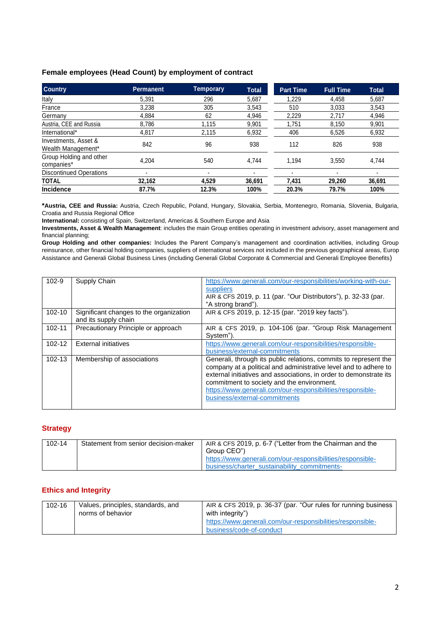#### **Female employees (Head Count) by employment of contract**

| <b>Country</b>                             | <b>Permanent</b> | Temporary | <b>Total</b> | <b>Part Time</b> | <b>Full Time</b> | <b>Total</b> |
|--------------------------------------------|------------------|-----------|--------------|------------------|------------------|--------------|
| Italy                                      | 5.391            | 296       | 5,687        | 1.229            | 4,458            | 5.687        |
| France                                     | 3.238            | 305       | 3.543        | 510              | 3,033            | 3.543        |
| Germany                                    | 4.884            | 62        | 4,946        | 2,229            | 2.717            | 4,946        |
| Austria, CEE and Russia                    | 8,786            | 1,115     | 9,901        | 1,751            | 8,150            | 9,901        |
| International*                             | 4,817            | 2.115     | 6,932        | 406              | 6,526            | 6,932        |
| Investments, Asset &<br>Wealth Management* | 842              | 96        | 938          | 112              | 826              | 938          |
| Group Holding and other<br>companies*      | 4.204            | 540       | 4.744        | 1.194            | 3.550            | 4,744        |
| <b>Discontinued Operations</b>             |                  |           |              |                  |                  |              |
| <b>TOTAL</b>                               | 32,162           | 4,529     | 36,691       | 7,431            | 29,260           | 36,691       |
| <b>Incidence</b>                           | 87.7%            | 12.3%     | 100%         | 20.3%            | 79.7%            | 100%         |

**\*Austria, CEE and Russia:** Austria, Czech Republic, Poland, Hungary, Slovakia, Serbia, Montenegro, Romania, Slovenia, Bulgaria, Croatia and Russia Regional Office

**International:** consisting of Spain, Switzerland, Americas & Southern Europe and Asia

**Investments, Asset & Wealth Management**: includes the main Group entities operating in investment advisory, asset management and financial planning;

**Group Holding and other companies:** Includes the Parent Company's management and coordination activities, including Group reinsurance, other financial holding companies, suppliers of international services not included in the previous geographical areas, Europ Assistance and Generali Global Business Lines (including Generali Global Corporate & Commercial and Generali Employee Benefits)

| $102 - 9$  | Supply Chain                                                    | https://www.generali.com/our-responsibilities/working-with-our-<br>suppliers<br>AIR & CFS 2019, p. 11 (par. "Our Distributors"), p. 32-33 (par.<br>"A strong brand").                                                                                                                                                                                   |
|------------|-----------------------------------------------------------------|---------------------------------------------------------------------------------------------------------------------------------------------------------------------------------------------------------------------------------------------------------------------------------------------------------------------------------------------------------|
| $102 - 10$ | Significant changes to the organization<br>and its supply chain | AIR & CFS 2019, p. 12-15 (par. "2019 key facts").                                                                                                                                                                                                                                                                                                       |
| 102-11     | Precautionary Principle or approach                             | AIR & CFS 2019, p. 104-106 (par. "Group Risk Management<br>System").                                                                                                                                                                                                                                                                                    |
| $102 - 12$ | <b>External initiatives</b>                                     | https://www.generali.com/our-responsibilities/responsible-<br>business/external-commitments                                                                                                                                                                                                                                                             |
| $102 - 13$ | Membership of associations                                      | Generali, through its public relations, commits to represent the<br>company at a political and administrative level and to adhere to<br>external initiatives and associations, in order to demonstrate its<br>commitment to society and the environment.<br>https://www.generali.com/our-responsibilities/responsible-<br>business/external-commitments |

#### **Strategy**

| 102-14 | Statement from senior decision-maker | AIR & CFS 2019, p. 6-7 ("Letter from the Chairman and the<br>Group CEO")                                   |
|--------|--------------------------------------|------------------------------------------------------------------------------------------------------------|
|        |                                      | https://www.generali.com/our-responsibilities/responsible-<br>business/charter sustainability commitments- |

#### **Ethics and Integrity**

| $102 - 16$ | Values, principles, standards, and | AIR & CFS 2019, p. 36-37 (par. "Our rules for running business |
|------------|------------------------------------|----------------------------------------------------------------|
|            | norms of behavior                  | with integrity")                                               |
|            |                                    | https://www.generali.com/our-responsibilities/responsible-     |
|            |                                    | business/code-of-conduct                                       |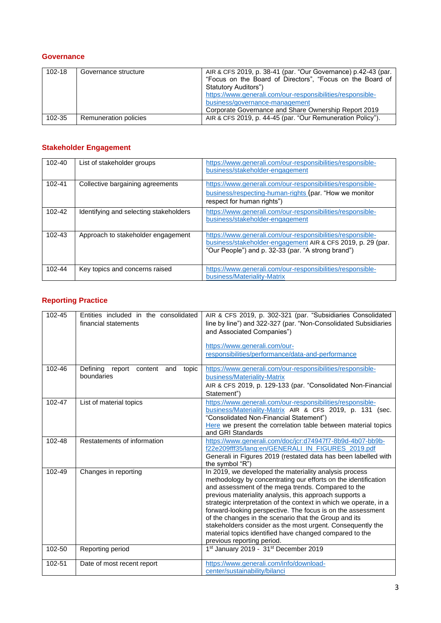#### **Governance**

| $102 - 18$ | Governance structure  | AIR & CFS 2019, p. 38-41 (par. "Our Governance) p.42-43 (par.<br>"Focus on the Board of Directors", "Focus on the Board of<br>Statutory Auditors")<br>https://www.generali.com/our-responsibilities/responsible-<br>business/governance-management<br>Corporate Governance and Share Ownership Report 2019 |
|------------|-----------------------|------------------------------------------------------------------------------------------------------------------------------------------------------------------------------------------------------------------------------------------------------------------------------------------------------------|
| 102-35     | Remuneration policies | AIR & CFS 2019, p. 44-45 (par. "Our Remuneration Policy").                                                                                                                                                                                                                                                 |

### **Stakeholder Engagement**

| 102-40     | List of stakeholder groups             | https://www.generali.com/our-responsibilities/responsible-<br>business/stakeholder-engagement                                                                                   |
|------------|----------------------------------------|---------------------------------------------------------------------------------------------------------------------------------------------------------------------------------|
| 102-41     | Collective bargaining agreements       | https://www.generali.com/our-responsibilities/responsible-<br>business/respecting-human-rights (par. "How we monitor<br>respect for human rights")                              |
| 102-42     | Identifying and selecting stakeholders | https://www.generali.com/our-responsibilities/responsible-<br>business/stakeholder-engagement                                                                                   |
| $102 - 43$ | Approach to stakeholder engagement     | https://www.generali.com/our-responsibilities/responsible-<br>business/stakeholder-engagement AIR & CFS 2019, p. 29 (par.<br>"Our People") and p. 32-33 (par. "A strong brand") |
| 102-44     | Key topics and concerns raised         | https://www.generali.com/our-responsibilities/responsible-<br>business/Materiality-Matrix                                                                                       |

# **Reporting Practice**

| $102 - 45$ | Entities included in the consolidated<br>financial statements | AIR & CFS 2019, p. 302-321 (par. "Subsidiaries Consolidated<br>line by line") and 322-327 (par. "Non-Consolidated Subsidiaries<br>and Associated Companies")<br>https://www.generali.com/our-<br>responsibilities/performance/data-and-performance                                                                                                                                                                                                                                                                                                                                            |
|------------|---------------------------------------------------------------|-----------------------------------------------------------------------------------------------------------------------------------------------------------------------------------------------------------------------------------------------------------------------------------------------------------------------------------------------------------------------------------------------------------------------------------------------------------------------------------------------------------------------------------------------------------------------------------------------|
| 102-46     | Defining<br>report content<br>and<br>topic<br>boundaries      | https://www.generali.com/our-responsibilities/responsible-<br>business/Materiality-Matrix<br>AIR & CFS 2019, p. 129-133 (par. "Consolidated Non-Financial<br>Statement")                                                                                                                                                                                                                                                                                                                                                                                                                      |
| 102-47     | List of material topics                                       | https://www.generali.com/our-responsibilities/responsible-<br>business/Materiality-Matrix AIR & CFS 2019, p. 131 (sec.<br>"Consolidated Non-Financial Statement")<br>Here we present the correlation table between material topics<br>and GRI Standards                                                                                                                                                                                                                                                                                                                                       |
| 102-48     | Restatements of information                                   | https://www.generali.com/doc/jcr:d74947f7-8b9d-4b07-bb9b-<br>f22e209fff35/lang:en/GENERALI_IN_FIGURES_2019.pdf<br>Generali in Figures 2019 (restated data has been labelled with<br>the symbol "R")                                                                                                                                                                                                                                                                                                                                                                                           |
| 102-49     | Changes in reporting                                          | In 2019, we developed the materiality analysis process<br>methodology by concentrating our efforts on the identification<br>and assessment of the mega trends. Compared to the<br>previous materiality analysis, this approach supports a<br>strategic interpretation of the context in which we operate, in a<br>forward-looking perspective. The focus is on the assessment<br>of the changes in the scenario that the Group and its<br>stakeholders consider as the most urgent. Consequently the<br>material topics identified have changed compared to the<br>previous reporting period. |
| 102-50     | Reporting period                                              | 1st January 2019 - 31st December 2019                                                                                                                                                                                                                                                                                                                                                                                                                                                                                                                                                         |
| 102-51     | Date of most recent report                                    | https://www.generali.com/info/download-<br>center/sustainability/bilanci                                                                                                                                                                                                                                                                                                                                                                                                                                                                                                                      |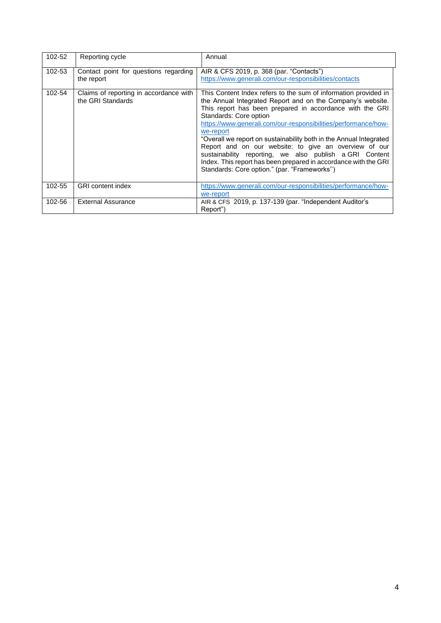| 102-52 | Reporting cycle                                             | Annual                                                                                                                                                                                                                                                                                                                                                                                                                                                                                                                                                                                                          |
|--------|-------------------------------------------------------------|-----------------------------------------------------------------------------------------------------------------------------------------------------------------------------------------------------------------------------------------------------------------------------------------------------------------------------------------------------------------------------------------------------------------------------------------------------------------------------------------------------------------------------------------------------------------------------------------------------------------|
| 102-53 | Contact point for questions regarding<br>the report         | AIR & CFS 2019, p. 368 (par. "Contacts")<br>https://www.generali.com/our-responsibilities/contacts                                                                                                                                                                                                                                                                                                                                                                                                                                                                                                              |
| 102-54 | Claims of reporting in accordance with<br>the GRI Standards | This Content Index refers to the sum of information provided in<br>the Annual Integrated Report and on the Company's website.<br>This report has been prepared in accordance with the GRI<br>Standards: Core option<br>https://www.generali.com/our-responsibilities/performance/how-<br>we-report<br>"Overall we report on sustainability both in the Annual Integrated<br>Report and on our website: to give an overview of our<br>sustainability reporting, we also publish a GRI Content<br>Index. This report has been prepared in accordance with the GRI<br>Standards: Core option." (par. "Frameworks") |
| 102-55 | <b>GRI</b> content index                                    | https://www.generali.com/our-responsibilities/performance/how-<br>we-report                                                                                                                                                                                                                                                                                                                                                                                                                                                                                                                                     |
| 102-56 | <b>External Assurance</b>                                   | AIR & CFS 2019, p. 137-139 (par. "Independent Auditor's<br>Report")                                                                                                                                                                                                                                                                                                                                                                                                                                                                                                                                             |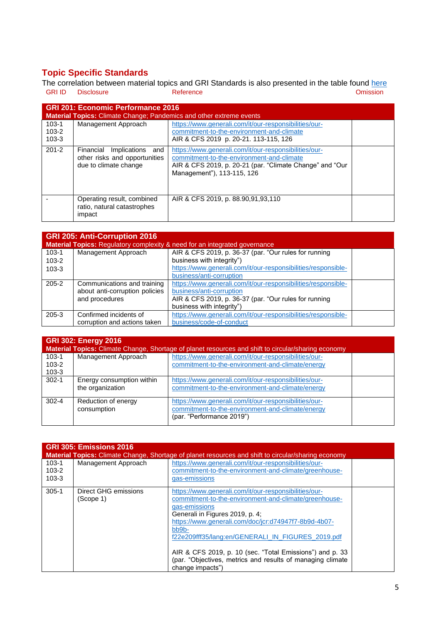# **Topic Specific Standards**

The correlation between material topics and GRI Standards is also presented in the table found [here](#page-12-0) GRI ID Disclosure **Contract Contract Contract Contract Contract Contract Contract Contract Contract Contract Contract Contract Contract Contract Contract Contract Contract Contract Contract Contract Contract Contract Contr** 

| <b>GRI 201: Economic Performance 2016</b><br><b>Material Topics: Climate Change; Pandemics and other extreme events</b> |                                                                                         |                                                                                                                                                                                              |  |
|-------------------------------------------------------------------------------------------------------------------------|-----------------------------------------------------------------------------------------|----------------------------------------------------------------------------------------------------------------------------------------------------------------------------------------------|--|
| $103 - 1$<br>$103 - 2$<br>$103 - 3$                                                                                     | Management Approach                                                                     | https://www.generali.com/it/our-responsibilities/our-<br>commitment-to-the-environment-and-climate<br>AIR & CFS 2019 p. 20-21. 113-115, 126                                                  |  |
| $201 - 2$                                                                                                               | Financial<br>Implications and<br>other risks and opportunities<br>due to climate change | https://www.generali.com/it/our-responsibilities/our-<br>commitment-to-the-environment-and-climate<br>AIR & CFS 2019, p. 20-21 (par. "Climate Change" and "Our<br>Management"), 113-115, 126 |  |
|                                                                                                                         | Operating result, combined<br>ratio, natural catastrophes<br>impact                     | AIR & CFS 2019, p. 88.90,91,93,110                                                                                                                                                           |  |

|           | <b>GRI 205: Anti-Corruption 2016</b><br>Material Topics: Regulatory complexity & need for an integrated governance |                                                               |  |  |
|-----------|--------------------------------------------------------------------------------------------------------------------|---------------------------------------------------------------|--|--|
| $103 - 1$ | Management Approach                                                                                                | AIR & CFS 2019, p. 36-37 (par. "Our rules for running         |  |  |
| $103 - 2$ |                                                                                                                    | business with integrity")                                     |  |  |
| $103 - 3$ |                                                                                                                    | https://www.generali.com/it/our-responsibilities/responsible- |  |  |
|           |                                                                                                                    | business/anti-corruption                                      |  |  |
| $205 - 2$ | Communications and training                                                                                        | https://www.generali.com/it/our-responsibilities/responsible- |  |  |
|           | about anti-corruption policies                                                                                     | business/anti-corruption                                      |  |  |
|           | and procedures                                                                                                     | AIR & CFS 2019, p. 36-37 (par. "Our rules for running         |  |  |
|           |                                                                                                                    | business with integrity")                                     |  |  |
| $205 - 3$ | Confirmed incidents of                                                                                             | https://www.generali.com/it/our-responsibilities/responsible- |  |  |
|           | corruption and actions taken                                                                                       | business/code-of-conduct                                      |  |  |

| <b>GRI 302: Energy 2016</b><br>Material Topics: Climate Change, Shortage of planet resources and shift to circular/sharing economy |                                               |                                                                                                                                        |  |  |
|------------------------------------------------------------------------------------------------------------------------------------|-----------------------------------------------|----------------------------------------------------------------------------------------------------------------------------------------|--|--|
| $103-1$<br>$103 - 2$<br>$103 - 3$                                                                                                  | Management Approach                           | https://www.generali.com/it/our-responsibilities/our-<br>commitment-to-the-environment-and-climate/energy                              |  |  |
| $302 - 1$                                                                                                                          | Energy consumption within<br>the organization | https://www.generali.com/it/our-responsibilities/our-<br>commitment-to-the-environment-and-climate/energy                              |  |  |
| $302 - 4$                                                                                                                          | Reduction of energy<br>consumption            | https://www.generali.com/it/our-responsibilities/our-<br>commitment-to-the-environment-and-climate/energy<br>(par. "Performance 2019") |  |  |

| GRI 305: Emissions 2016<br><b>Material Topics:</b> Climate Change, Shortage of planet resources and shift to circular/sharing economy |                                   |                                                                                                                                                                                                                                                                                                                                                                                                                                           |  |  |  |
|---------------------------------------------------------------------------------------------------------------------------------------|-----------------------------------|-------------------------------------------------------------------------------------------------------------------------------------------------------------------------------------------------------------------------------------------------------------------------------------------------------------------------------------------------------------------------------------------------------------------------------------------|--|--|--|
| 103-1<br>$103 - 2$<br>$103 - 3$                                                                                                       | Management Approach               | https://www.generali.com/it/our-responsibilities/our-<br>commitment-to-the-environment-and-climate/greenhouse-<br>gas-emissions                                                                                                                                                                                                                                                                                                           |  |  |  |
| $305 - 1$                                                                                                                             | Direct GHG emissions<br>(Scope 1) | https://www.generali.com/it/our-responsibilities/our-<br>commitment-to-the-environment-and-climate/greenhouse-<br>gas-emissions<br>Generali in Figures 2019, p. 4;<br>https://www.generali.com/doc/jcr:d74947f7-8b9d-4b07-<br>$bb9b$ -<br>f22e209fff35/lang:en/GENERALI IN FIGURES 2019.pdf<br>AIR & CFS 2019, p. 10 (sec. "Total Emissions") and p. 33<br>(par. "Objectives, metrics and results of managing climate<br>change impacts") |  |  |  |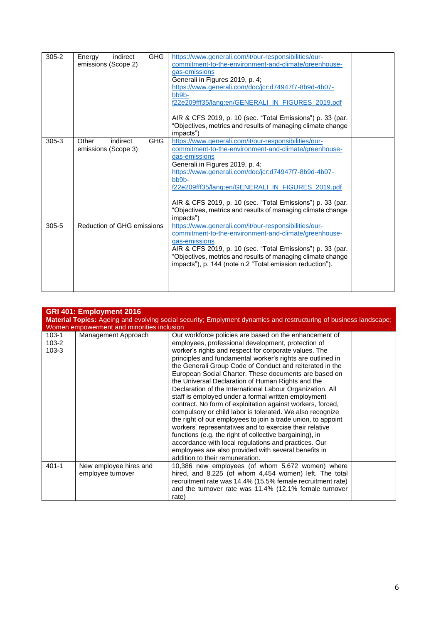| $305 - 2$ | <b>GHG</b><br>indirect<br>Energy<br>emissions (Scope 2) | https://www.generali.com/it/our-responsibilities/our-<br>commitment-to-the-environment-and-climate/greenhouse-<br>gas-emissions<br>Generali in Figures 2019, p. 4;<br>https://www.generali.com/doc/jcr:d74947f7-8b9d-4b07-<br>bb9b-<br>f22e209fff35/lang:en/GENERALI_IN_FIGURES_2019.pdf<br>AIR & CFS 2019, p. 10 (sec. "Total Emissions") p. 33 (par.<br>"Objectives, metrics and results of managing climate change<br>impacts") |  |
|-----------|---------------------------------------------------------|------------------------------------------------------------------------------------------------------------------------------------------------------------------------------------------------------------------------------------------------------------------------------------------------------------------------------------------------------------------------------------------------------------------------------------|--|
| $305 - 3$ | <b>GHG</b><br>indirect<br>Other<br>emissions (Scope 3)  | https://www.generali.com/it/our-responsibilities/our-<br>commitment-to-the-environment-and-climate/greenhouse-<br>gas-emissions<br>Generali in Figures 2019, p. 4;<br>https://www.generali.com/doc/jcr:d74947f7-8b9d-4b07-<br>bb9b-<br>f22e209fff35/lang:en/GENERALI_IN_FIGURES_2019.pdf<br>AIR & CFS 2019, p. 10 (sec. "Total Emissions") p. 33 (par.<br>"Objectives, metrics and results of managing climate change<br>impacts") |  |
| $305 - 5$ | Reduction of GHG emissions                              | https://www.generali.com/it/our-responsibilities/our-<br>commitment-to-the-environment-and-climate/greenhouse-<br>gas-emissions<br>AIR & CFS 2019, p. 10 (sec. "Total Emissions") p. 33 (par.<br>"Objectives, metrics and results of managing climate change<br>impacts"), p. 144 (note n.2 "Total emission reduction").                                                                                                           |  |

|                                     | GRI 401: Employment 2016<br><b>Material Topics:</b> Ageing and evolving social security; Emplyment dynamics and restructuring of business landscape;<br>Women empowerment and minorities inclusion |                                                                                                                                                                                                                                                                                                                                                                                                                                                                                                                                                                                                                                                                                                                                                                                                                                                                                                                                                                                                       |  |  |  |  |
|-------------------------------------|----------------------------------------------------------------------------------------------------------------------------------------------------------------------------------------------------|-------------------------------------------------------------------------------------------------------------------------------------------------------------------------------------------------------------------------------------------------------------------------------------------------------------------------------------------------------------------------------------------------------------------------------------------------------------------------------------------------------------------------------------------------------------------------------------------------------------------------------------------------------------------------------------------------------------------------------------------------------------------------------------------------------------------------------------------------------------------------------------------------------------------------------------------------------------------------------------------------------|--|--|--|--|
| $103 - 1$<br>$103 - 2$<br>$103 - 3$ | Management Approach                                                                                                                                                                                | Our workforce policies are based on the enhancement of<br>employees, professional development, protection of<br>worker's rights and respect for corporate values. The<br>principles and fundamental worker's rights are outlined in<br>the Generali Group Code of Conduct and reiterated in the<br>European Social Charter. These documents are based on<br>the Universal Declaration of Human Rights and the<br>Declaration of the International Labour Organization. All<br>staff is employed under a formal written employment<br>contract. No form of exploitation against workers, forced,<br>compulsory or child labor is tolerated. We also recognize<br>the right of our employees to join a trade union, to appoint<br>workers' representatives and to exercise their relative<br>functions (e.g. the right of collective bargaining), in<br>accordance with local regulations and practices. Our<br>employees are also provided with several benefits in<br>addition to their remuneration. |  |  |  |  |
| $401 - 1$                           | New employee hires and<br>employee turnover                                                                                                                                                        | 10,386 new employees (of whom 5.672 women) where<br>hired, and 8.225 (of whom 4,454 women) left. The total<br>recruitment rate was 14.4% (15.5% female recruitment rate)<br>and the turnover rate was 11.4% (12.1% female turnover<br>rate)                                                                                                                                                                                                                                                                                                                                                                                                                                                                                                                                                                                                                                                                                                                                                           |  |  |  |  |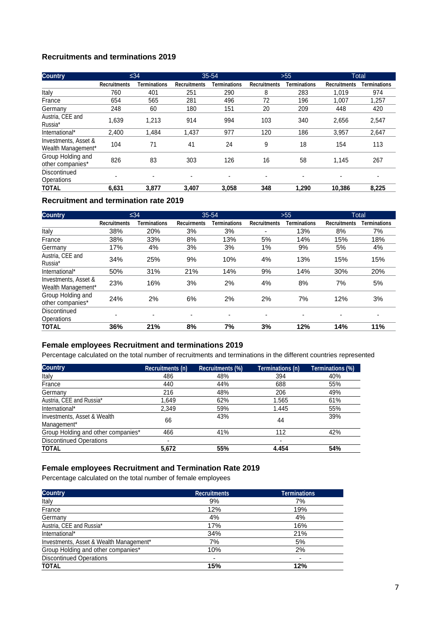#### **Recruitments and terminations 2019**

| <b>Country</b>                             |                     | $\leq 34$           |                     | $35 - 54$      |                     | >55          |                     | <b>Total</b> |
|--------------------------------------------|---------------------|---------------------|---------------------|----------------|---------------------|--------------|---------------------|--------------|
|                                            | <b>Recruitments</b> | <b>Terminations</b> | <b>Recruitments</b> | Terminations   | <b>Recruitments</b> | Terminations | <b>Recruitments</b> | Terminations |
| Italy                                      | 760                 | 401                 | 251                 | 290            | 8                   | 283          | 1.019               | 974          |
| France                                     | 654                 | 565                 | 281                 | 496            | 72                  | 196          | 1.007               | 1,257        |
| Germany                                    | 248                 | 60                  | 180                 | 151            | 20                  | 209          | 448                 | 420          |
| Austria, CEE and<br>Russia*                | 1,639               | 1.213               | 914                 | 994            | 103                 | 340          | 2,656               | 2,547        |
| International*                             | 2,400               | 1.484               | 1,437               | 977            | 120                 | 186          | 3,957               | 2,647        |
| Investments, Asset &<br>Wealth Management* | 104                 | 71                  | 41                  | 24             | 9                   | 18           | 154                 | 113          |
| Group Holding and<br>other companies*      | 826                 | 83                  | 303                 | 126            | 16                  | 58           | 1,145               | 267          |
| Discontinued<br>Operations                 |                     | $\blacksquare$      | $\blacksquare$      | $\blacksquare$ | ۰                   | ٠            |                     |              |
| <b>TOTAL</b>                               | 6.631               | 3.877               | 3.407               | 3.058          | 348                 | 1.290        | 10.386              | 8,225        |

#### **Recruitment and termination rate 2019**

| <b>Country</b>                             |                     | $\leq 34$                |                    | $35 - 54$    |                          | $>55$               |                     | <b>Total</b>        |
|--------------------------------------------|---------------------|--------------------------|--------------------|--------------|--------------------------|---------------------|---------------------|---------------------|
|                                            | <b>Recruitments</b> | <b>Terminations</b>      | <b>Recuirments</b> | Terminations | <b>Recruitments</b>      | <b>Terminations</b> | <b>Recruitments</b> | <b>Terminations</b> |
| Italy                                      | 38%                 | 20%                      | 3%                 | 3%           | $\overline{\phantom{0}}$ | 13%                 | 8%                  | 7%                  |
| France                                     | 38%                 | 33%                      | 8%                 | 13%          | 5%                       | 14%                 | 15%                 | 18%                 |
| Germany                                    | 17%                 | 4%                       | 3%                 | 3%           | 1%                       | 9%                  | 5%                  | 4%                  |
| Austria, CEE and<br>Russia*                | 34%                 | 25%                      | 9%                 | 10%          | 4%                       | 13%                 | 15%                 | 15%                 |
| International*                             | 50%                 | 31%                      | 21%                | 14%          | 9%                       | 14%                 | 30%                 | 20%                 |
| Investments, Asset &<br>Wealth Management* | 23%                 | 16%                      | 3%                 | 2%           | 4%                       | 8%                  | 7%                  | 5%                  |
| Group Holding and<br>other companies*      | 24%                 | 2%                       | 6%                 | 2%           | 2%                       | 7%                  | 12%                 | 3%                  |
| Discontinued<br>Operations                 |                     | $\overline{\phantom{a}}$ | ٠                  | ٠            | $\overline{\phantom{0}}$ |                     | -                   |                     |
| <b>TOTAL</b>                               | 36%                 | 21%                      | 8%                 | 7%           | 3%                       | 12%                 | 14%                 | 11%                 |

#### **Female employees Recruitment and terminations 2019**

Percentage calculated on the total number of recruitments and terminations in the different countries represented

| <b>Country</b>                     | Recruitments (n) | <b>Recruitments (%)</b> | Terminations (n) | Terminations (%) |
|------------------------------------|------------------|-------------------------|------------------|------------------|
| Italy                              | 486              | 48%                     | 394              | 40%              |
| France                             | 440              | 44%                     | 688              | 55%              |
| Germany                            | 216              | 48%                     | 206              | 49%              |
| Austria, CEE and Russia*           | 1.649            | 62%                     | 1.565            | 61%              |
| International*                     | 2.349            | 59%                     | 1.445            | 55%              |
| Investments, Asset & Wealth        | 66               | 43%                     | 44               | 39%              |
| Management*                        |                  |                         |                  |                  |
| Group Holding and other companies* | 466              | 41%                     | 112              | 42%              |
| <b>Discontinued Operations</b>     |                  |                         | ۰                |                  |
| <b>TOTAL</b>                       | 5.672            | 55%                     | 4.454            | 54%              |

#### **Female employees Recruitment and Termination Rate 2019**

Percentage calculated on the total number of female employees

| <b>Country</b>                          | <b>Recruitments</b> | <b>Terminations</b>      |
|-----------------------------------------|---------------------|--------------------------|
| Italy                                   | 9%                  | 7%                       |
| France                                  | 12%                 | 19%                      |
| Germany                                 | 4%                  | 4%                       |
| Austria, CEE and Russia*                | 17%                 | 16%                      |
| International*                          | 34%                 | 21%                      |
| Investments, Asset & Wealth Management* | 7%                  | 5%                       |
| Group Holding and other companies*      | 10%                 | 2%                       |
| <b>Discontinued Operations</b>          | -                   | $\overline{\phantom{0}}$ |
| <b>TOTAL</b>                            | 15%                 | 12%                      |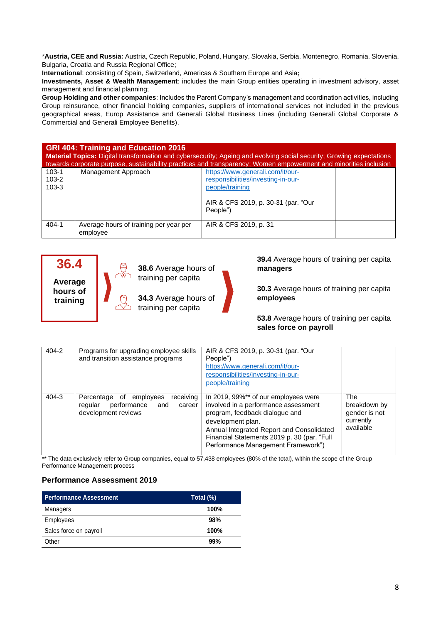\***Austria, CEE and Russia:** Austria, Czech Republic, Poland, Hungary, Slovakia, Serbia, Montenegro, Romania, Slovenia, Bulgaria, Croatia and Russia Regional Office;

**International**: consisting of Spain, Switzerland, Americas & Southern Europe and Asia**;**

**Investments, Asset & Wealth Management**: includes the main Group entities operating in investment advisory, asset management and financial planning;

**Group Holding and other companies**: Includes the Parent Company's management and coordination activities, including Group reinsurance, other financial holding companies, suppliers of international services not included in the previous geographical areas, Europ Assistance and Generali Global Business Lines (including Generali Global Corporate & Commercial and Generali Employee Benefits).

#### **GRI 404: Training and Education 2016 Material Topics:** Digital transformation and cybersecurity; Ageing and evolving social security; Growing expectations

|                                     | towards corporate purpose, sustainability practices and transparency; Women empowerment and minorities inclusion |                                                                                           |  |  |  |  |
|-------------------------------------|------------------------------------------------------------------------------------------------------------------|-------------------------------------------------------------------------------------------|--|--|--|--|
| $103 - 1$<br>$103 - 2$<br>$103 - 3$ | Management Approach                                                                                              | https://www.generali.com/it/our-<br>responsibilities/investing-in-our-<br>people/training |  |  |  |  |
|                                     |                                                                                                                  | AIR & CFS 2019, p. 30-31 (par. "Our<br>People")                                           |  |  |  |  |
| $404 - 1$                           | Average hours of training per year per<br>employee                                                               | AIR & CFS 2019, p. 31                                                                     |  |  |  |  |

# **36.4**

**Average hours of training**



**38.6** Average hours of training per capita



**39.4** Average hours of training per capita **managers**

**30.3** Average hours of training per capita **employees**

**53.8** Average hours of training per capita **sales force on payroll**

| 404-2 | Programs for upgrading employee skills<br>and transition assistance programs                           | AIR & CFS 2019, p. 30-31 (par. "Our<br>People")<br>https://www.generali.com/it/our-<br>responsibilities/investing-in-our-<br>people/training                                                                                                                          |                                                                |
|-------|--------------------------------------------------------------------------------------------------------|-----------------------------------------------------------------------------------------------------------------------------------------------------------------------------------------------------------------------------------------------------------------------|----------------------------------------------------------------|
| 404-3 | receiving<br>Percentage of employees<br>performance<br>regular<br>and<br>career<br>development reviews | In 2019, 99%** of our employees were<br>involved in a performance assessment<br>program, feedback dialogue and<br>development plan.<br>Annual Integrated Report and Consolidated<br>Financial Statements 2019 p. 30 (par. "Full<br>Performance Management Framework") | The<br>breakdown by<br>gender is not<br>currently<br>available |

\*\* The data exclusively refer to Group companies, equal to 57,438 employees (80% of the total), within the scope of the Group Performance Management process

#### **Performance Assessment 2019**

| <b>Performance Assessment</b> | Total (%) |
|-------------------------------|-----------|
| Managers                      | 100%      |
| Employees                     | 98%       |
| Sales force on payroll        | 100%      |
| Other                         | 99%       |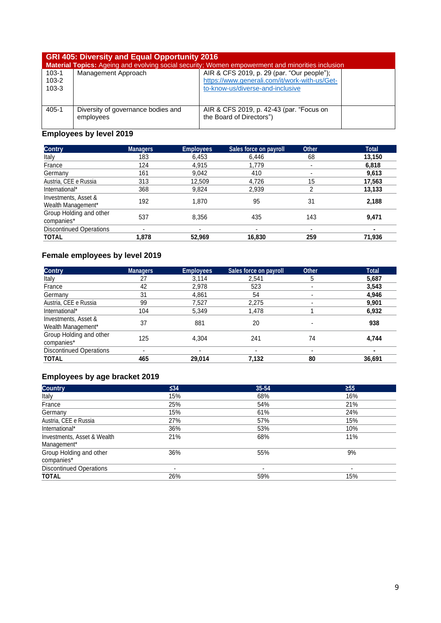|                      | <b>GRI 405: Diversity and Equal Opportunity 2016</b><br>Material Topics: Ageing and evolving social security; Women empowerment and minorities inclusion |                                                                                             |  |  |  |  |
|----------------------|----------------------------------------------------------------------------------------------------------------------------------------------------------|---------------------------------------------------------------------------------------------|--|--|--|--|
| $103-1$<br>$103 - 2$ | Management Approach                                                                                                                                      | AIR & CFS 2019, p. 29 (par. "Our people");<br>https://www.generali.com/it/work-with-us/Get- |  |  |  |  |
| $103 - 3$            |                                                                                                                                                          | to-know-us/diverse-and-inclusive                                                            |  |  |  |  |
|                      |                                                                                                                                                          |                                                                                             |  |  |  |  |
| $405 - 1$            | Diversity of governance bodies and                                                                                                                       | AIR & CFS 2019, p. 42-43 (par. "Focus on                                                    |  |  |  |  |
|                      | employees                                                                                                                                                | the Board of Directors")                                                                    |  |  |  |  |

# **Employees by level 2019**

| <b>Contry</b>                              | <b>Managers</b> | <b>Employees</b> | Sales force on payroll | <b>Other</b> | <b>Total</b> |
|--------------------------------------------|-----------------|------------------|------------------------|--------------|--------------|
| Italy                                      | 183             | 6,453            | 6,446                  | 68           | 13,150       |
| France                                     | 124             | 4,915            | 1.779                  | $\,$         | 6,818        |
| Germany                                    | 161             | 9,042            | 410                    | $\,$         | 9,613        |
| Austria, CEE e Russia                      | 313             | 12,509           | 4,726                  | 15           | 17,563       |
| International*                             | 368             | 9,824            | 2,939                  | 2            | 13,133       |
| Investments, Asset &<br>Wealth Management* | 192             | 1.870            | 95                     | 31           | 2,188        |
| Group Holding and other<br>companies*      | 537             | 8,356            | 435                    | 143          | 9,471        |
| <b>Discontinued Operations</b>             | ۰               | -                |                        | -            |              |
| <b>TOTAL</b>                               | 1.878           | 52,969           | 16,830                 | 259          | 71,936       |

# **Female employees by level 2019**

| <b>Contry</b>                              | <b>Managers</b> | <b>Employees</b> | Sales force on payroll | <b>Other</b> | <b>Total</b> |
|--------------------------------------------|-----------------|------------------|------------------------|--------------|--------------|
| Italy                                      | 27              | 3,114            | 2.541                  | 5            | 5,687        |
| France                                     | 42              | 2,978            | 523                    |              | 3,543        |
| Germany                                    | 31              | 4.861            | 54                     |              | 4,946        |
| Austria, CEE e Russia                      | 99              | 7,527            | 2,275                  |              | 9,901        |
| International*                             | 104             | 5,349            | 1,478                  |              | 6,932        |
| Investments, Asset &<br>Wealth Management* | 37              | 881              | 20                     |              | 938          |
| Group Holding and other<br>companies*      | 125             | 4,304            | 241                    | 74           | 4,744        |
| <b>Discontinued Operations</b>             | $\blacksquare$  | -                |                        |              |              |
| <b>TOTAL</b>                               | 465             | 29,014           | 7,132                  | 80           | 36,691       |

# **Employees by age bracket 2019**

| <b>Country</b>                             | ≤34                      | 35-54 | $\geq 55$ |
|--------------------------------------------|--------------------------|-------|-----------|
| Italy                                      | 15%                      | 68%   | 16%       |
| France                                     | 25%                      | 54%   | 21%       |
| Germany                                    | 15%                      | 61%   | 24%       |
| Austria, CEE e Russia                      | 27%                      | 57%   | 15%       |
| International*                             | 36%                      | 53%   | 10%       |
| Investments, Asset & Wealth<br>Management* | 21%                      | 68%   | 11%       |
| Group Holding and other<br>companies*      | 36%                      | 55%   | 9%        |
| <b>Discontinued Operations</b>             | $\overline{\phantom{0}}$ |       |           |
| <b>TOTAL</b>                               | 26%                      | 59%   | 15%       |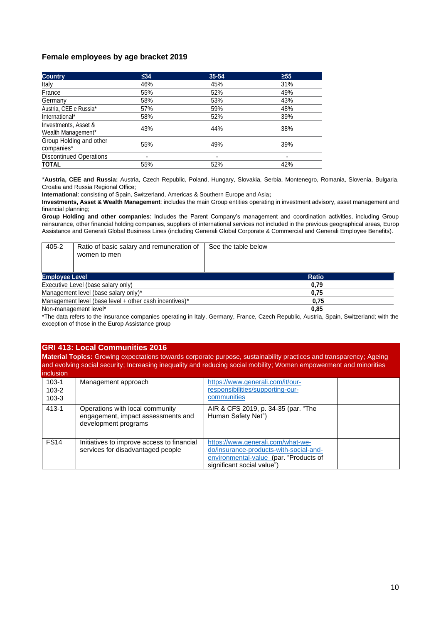#### **Female employees by age bracket 2019**

| <b>Country</b>                             | ≤34                      | $35 - 54$                | $\geq 55$                |
|--------------------------------------------|--------------------------|--------------------------|--------------------------|
| Italy                                      | 46%                      | 45%                      | 31%                      |
| France                                     | 55%                      | 52%                      | 49%                      |
| Germany                                    | 58%                      | 53%                      | 43%                      |
| Austria, CEE e Russia*                     | 57%                      | 59%                      | 48%                      |
| International*                             | 58%                      | 52%                      | 39%                      |
| Investments, Asset &<br>Wealth Management* | 43%                      | 44%                      | 38%                      |
| Group Holding and other<br>companies*      | 55%                      | 49%                      | 39%                      |
| <b>Discontinued Operations</b>             | $\overline{\phantom{0}}$ | $\overline{\phantom{0}}$ | $\overline{\phantom{0}}$ |
| <b>TOTAL</b>                               | 55%                      | 52%                      | 42%                      |

\***Austria, CEE and Russia:** Austria, Czech Republic, Poland, Hungary, Slovakia, Serbia, Montenegro, Romania, Slovenia, Bulgaria, Croatia and Russia Regional Office;

**International**: consisting of Spain, Switzerland, Americas & Southern Europe and Asia**;**

**Investments, Asset & Wealth Management**: includes the main Group entities operating in investment advisory, asset management and financial planning;

**Group Holding and other companies**: Includes the Parent Company's management and coordination activities, including Group reinsurance, other financial holding companies, suppliers of international services not included in the previous geographical areas, Europ Assistance and Generali Global Business Lines (including Generali Global Corporate & Commercial and Generali Employee Benefits).

| 405-2                                                  | Ratio of basic salary and remuneration of<br>women to men | See the table below |
|--------------------------------------------------------|-----------------------------------------------------------|---------------------|
| <b>Employee Level</b>                                  |                                                           | <b>Ratio</b>        |
| Executive Level (base salary only)                     |                                                           | 0,79                |
| Management level (base salary only)*                   |                                                           | 0,75                |
| Management level (base level + other cash incentives)* |                                                           | 0,75                |
| Non-management level*                                  |                                                           | 0,85                |

\*The data refers to the insurance companies operating in Italy, Germany, France, Czech Republic, Austria, Spain, Switzerland; with the exception of those in the Europ Assistance group

#### **GRI 413: Local Communities 2016**

**Material Topics:** Growing expectations towards corporate purpose, sustainability practices and transparency; Ageing and evolving social security; Increasing inequality and reducing social mobility; Women empowerment and minorities inclusion

| $103 - 1$<br>$103 - 2$<br>$103 - 3$ | Management approach                                                                           | https://www.generali.com/it/our-<br>responsibilities/supporting-our-<br><b>communities</b>                                                          |  |
|-------------------------------------|-----------------------------------------------------------------------------------------------|-----------------------------------------------------------------------------------------------------------------------------------------------------|--|
| $413 - 1$                           | Operations with local community<br>engagement, impact assessments and<br>development programs | AIR & CFS 2019, p. 34-35 (par. "The<br>Human Safety Net")                                                                                           |  |
| <b>FS14</b>                         | Initiatives to improve access to financial<br>services for disadvantaged people               | https://www.generali.com/what-we-<br>do/insurance-products-with-social-and-<br>environmental-value (par. "Products of<br>significant social value") |  |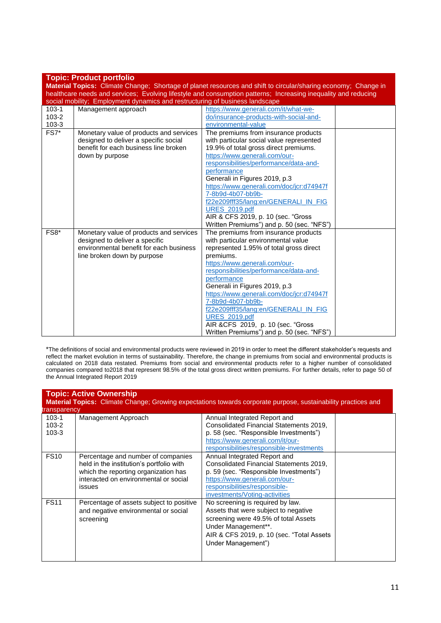|                                                                                                                | <b>Topic: Product portfolio</b>                                                                                |                                           |  |  |
|----------------------------------------------------------------------------------------------------------------|----------------------------------------------------------------------------------------------------------------|-------------------------------------------|--|--|
|                                                                                                                | Material Topics: Climate Change; Shortage of planet resources and shift to circular/sharing economy; Change in |                                           |  |  |
| healthcare needs and services; Evolving lifestyle and consumption patterns; Increasing inequality and reducing |                                                                                                                |                                           |  |  |
|                                                                                                                | social mobility; Employment dynamics and restructuring of business landscape                                   |                                           |  |  |
| $103-1$                                                                                                        | Management approach                                                                                            | https://www.generali.com/it/what-we-      |  |  |
| $103 - 2$                                                                                                      |                                                                                                                | do/insurance-products-with-social-and-    |  |  |
| $103 - 3$                                                                                                      |                                                                                                                | environmental-value                       |  |  |
| $FS7*$                                                                                                         | Monetary value of products and services                                                                        | The premiums from insurance products      |  |  |
|                                                                                                                | designed to deliver a specific social                                                                          | with particular social value represented  |  |  |
|                                                                                                                | benefit for each business line broken                                                                          | 19.9% of total gross direct premiums.     |  |  |
|                                                                                                                | down by purpose                                                                                                | https://www.generali.com/our-             |  |  |
|                                                                                                                |                                                                                                                | responsibilities/performance/data-and-    |  |  |
|                                                                                                                |                                                                                                                | performance                               |  |  |
|                                                                                                                |                                                                                                                | Generali in Figures 2019, p.3             |  |  |
|                                                                                                                |                                                                                                                | https://www.generali.com/doc/jcr:d74947f  |  |  |
|                                                                                                                |                                                                                                                | 7-8b9d-4b07-bb9b-                         |  |  |
|                                                                                                                |                                                                                                                | f22e209fff35/lang:en/GENERALI_IN_FIG      |  |  |
|                                                                                                                |                                                                                                                | <b>URES</b> 2019.pdf                      |  |  |
|                                                                                                                |                                                                                                                | AIR & CFS 2019, p. 10 (sec. "Gross        |  |  |
|                                                                                                                |                                                                                                                | Written Premiums") and p. 50 (sec. "NFS") |  |  |
| FS8*                                                                                                           | Monetary value of products and services                                                                        | The premiums from insurance products      |  |  |
|                                                                                                                | designed to deliver a specific                                                                                 | with particular environmental value       |  |  |
|                                                                                                                | environmental benefit for each business                                                                        | represented 1.95% of total gross direct   |  |  |
|                                                                                                                | line broken down by purpose                                                                                    | premiums.                                 |  |  |
|                                                                                                                |                                                                                                                | https://www.generali.com/our-             |  |  |
|                                                                                                                |                                                                                                                | responsibilities/performance/data-and-    |  |  |
|                                                                                                                |                                                                                                                | performance                               |  |  |
|                                                                                                                |                                                                                                                | Generali in Figures 2019, p.3             |  |  |
|                                                                                                                |                                                                                                                | https://www.generali.com/doc/jcr:d74947f  |  |  |
|                                                                                                                |                                                                                                                | 7-8b9d-4b07-bb9b-                         |  |  |
|                                                                                                                |                                                                                                                | f22e209fff35/lang:en/GENERALI_IN_FIG      |  |  |
|                                                                                                                |                                                                                                                | <b>URES 2019.pdf</b>                      |  |  |
|                                                                                                                |                                                                                                                | AIR & CFS 2019, p. 10 (sec. "Gross        |  |  |
|                                                                                                                |                                                                                                                | Written Premiums") and p. 50 (sec. "NFS") |  |  |

\*The definitions of social and environmental products were reviewed in 2019 in order to meet the different stakeholder's requests and reflect the market evolution in terms of sustainability. Therefore, the change in premiums from social and environmental products is calculated on 2018 data restated. Premiums from social and environmental products refer to a higher number of consolidated companies compared to2018 that represent 98.5% of the total gross direct written premiums. For further details, refer to page 50 of the Annual Integrated Report 2019

|                                 | <b>Topic: Active Ownership</b><br><b>Material Topics:</b> Climate Change; Growing expectations towards corporate purpose, sustainability practices and<br>transparency    |                                                                                                                                                                                                                      |  |  |
|---------------------------------|---------------------------------------------------------------------------------------------------------------------------------------------------------------------------|----------------------------------------------------------------------------------------------------------------------------------------------------------------------------------------------------------------------|--|--|
| 103-1<br>$103 - 2$<br>$103 - 3$ | Management Approach                                                                                                                                                       | Annual Integrated Report and<br>Consolidated Financial Statements 2019,<br>p. 58 (sec. "Responsible Investments")<br>https://www.generali.com/it/our-<br>responsibilities/responsible-investments                    |  |  |
| <b>FS10</b>                     | Percentage and number of companies<br>held in the institution's portfolio with<br>which the reporting organization has<br>interacted on environmental or social<br>issues | Annual Integrated Report and<br>Consolidated Financial Statements 2019,<br>p. 59 (sec. "Responsible Investments")<br>https://www.generali.com/our-<br>responsibilities/responsible-<br>investments/Voting-activities |  |  |
| <b>FS11</b>                     | Percentage of assets subject to positive<br>and negative environmental or social<br>screening                                                                             | No screening is required by law.<br>Assets that were subject to negative<br>screening were 49.5% of total Assets<br>Under Management**.<br>AIR & CFS 2019, p. 10 (sec. "Total Assets"<br>Under Management")          |  |  |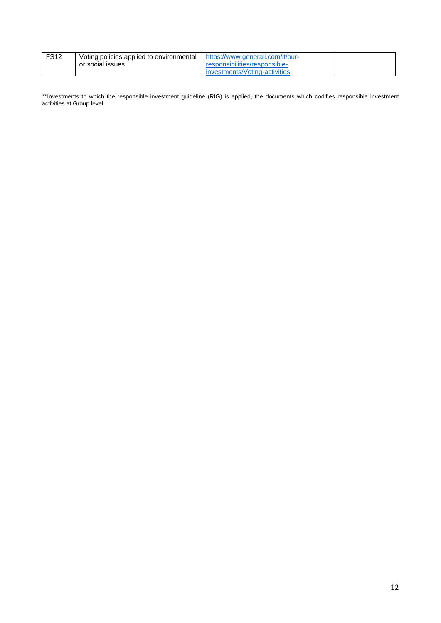| <b>FS12</b> | Voting policies applied to environmental | https://www.generali.com/it/our- |  |
|-------------|------------------------------------------|----------------------------------|--|
|             | or social issues                         | responsibilities/responsible-    |  |
|             |                                          | investments/Voting-activities    |  |

\*\*Investments to which the responsible investment guideline (RIG) is applied, the documents which codifies responsible investment activities at Group level.